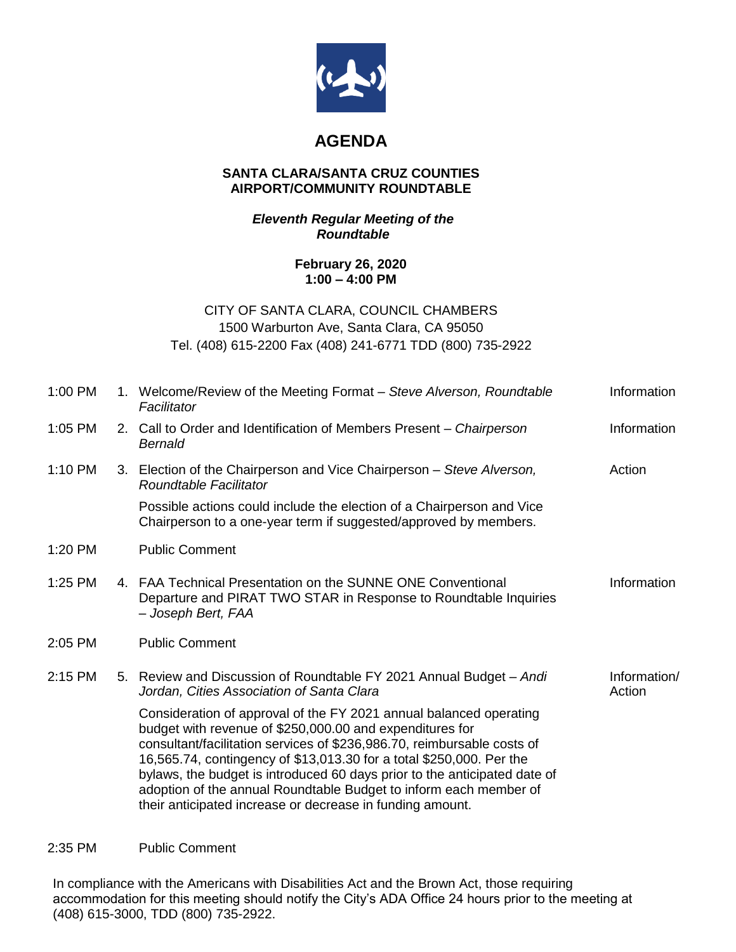

# **AGENDA**

#### **SANTA CLARA/SANTA CRUZ COUNTIES AIRPORT/COMMUNITY ROUNDTABLE**

## *Eleventh Regular Meeting of the Roundtable*

## **February 26, 2020 1:00 – 4:00 PM**

## CITY OF SANTA CLARA, COUNCIL CHAMBERS 1500 Warburton Ave, Santa Clara, CA 95050 Tel. (408) 615-2200 Fax (408) 241-6771 TDD (800) 735-2922

| 1:00 PM   | 1. Welcome/Review of the Meeting Format – Steve Alverson, Roundtable<br>Facilitator                                                                                                                                                                                                                                                                                                                                                                                                              | Information            |
|-----------|--------------------------------------------------------------------------------------------------------------------------------------------------------------------------------------------------------------------------------------------------------------------------------------------------------------------------------------------------------------------------------------------------------------------------------------------------------------------------------------------------|------------------------|
| $1:05$ PM | 2. Call to Order and Identification of Members Present – Chairperson<br>Bernald                                                                                                                                                                                                                                                                                                                                                                                                                  | Information            |
| $1:10$ PM | 3. Election of the Chairperson and Vice Chairperson - Steve Alverson,<br>Roundtable Facilitator                                                                                                                                                                                                                                                                                                                                                                                                  | Action                 |
|           | Possible actions could include the election of a Chairperson and Vice<br>Chairperson to a one-year term if suggested/approved by members.                                                                                                                                                                                                                                                                                                                                                        |                        |
| 1:20 PM   | <b>Public Comment</b>                                                                                                                                                                                                                                                                                                                                                                                                                                                                            |                        |
| 1:25 PM   | 4. FAA Technical Presentation on the SUNNE ONE Conventional<br>Departure and PIRAT TWO STAR in Response to Roundtable Inquiries<br>- Joseph Bert, FAA                                                                                                                                                                                                                                                                                                                                            | Information            |
| 2:05 PM   | <b>Public Comment</b>                                                                                                                                                                                                                                                                                                                                                                                                                                                                            |                        |
| $2:15$ PM | 5. Review and Discussion of Roundtable FY 2021 Annual Budget - Andi<br>Jordan, Cities Association of Santa Clara                                                                                                                                                                                                                                                                                                                                                                                 | Information/<br>Action |
|           | Consideration of approval of the FY 2021 annual balanced operating<br>budget with revenue of \$250,000.00 and expenditures for<br>consultant/facilitation services of \$236,986.70, reimbursable costs of<br>16,565.74, contingency of \$13,013.30 for a total \$250,000. Per the<br>bylaws, the budget is introduced 60 days prior to the anticipated date of<br>adoption of the annual Roundtable Budget to inform each member of<br>their anticipated increase or decrease in funding amount. |                        |

#### 2:35 PM Public Comment

In compliance with the Americans with Disabilities Act and the Brown Act, those requiring accommodation for this meeting should notify the City's ADA Office 24 hours prior to the meeting at (408) 615-3000, TDD (800) 735-2922.